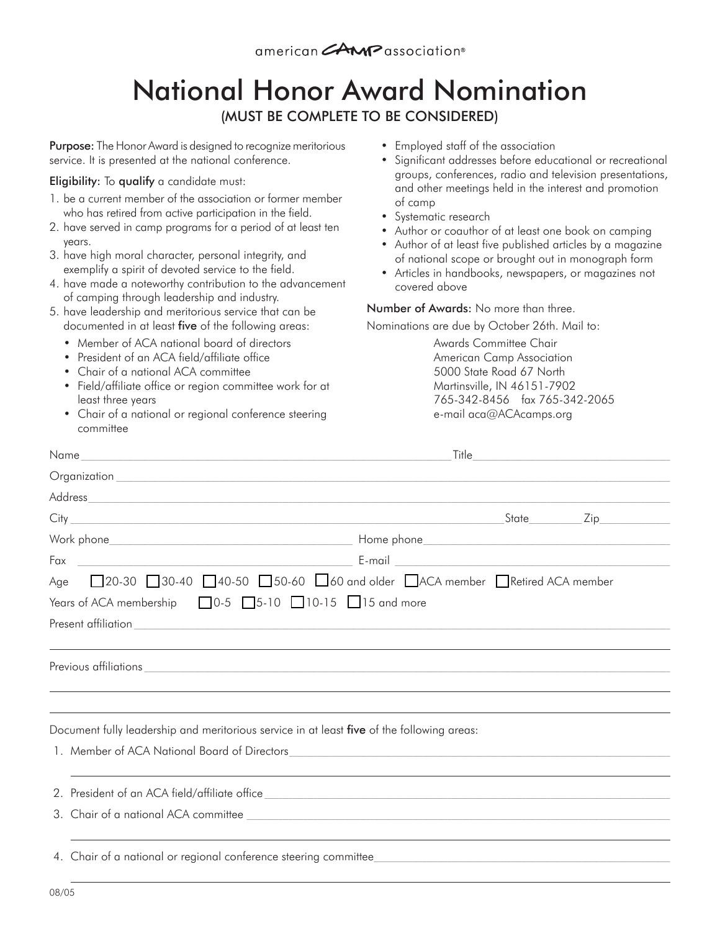## National Honor Award Nomination (MUST BE COMPLETE TO BE CONSIDERED)

**Purpose:** The Honor Award is designed to recognize meritorious service. It is presented at the national conference.

Eligibility: To qualify a candidate must:

- 1. be a current member of the association or former member who has retired from active participation in the field.
- 2. have served in camp programs for a period of at least ten years.
- 3. have high moral character, personal integrity, and exemplify a spirit of devoted service to the field.
- 4. have made a noteworthy contribution to the advancement of camping through leadership and industry.
- 5. have leadership and meritorious service that can be documented in at least five of the following areas:
	- Member of ACA national board of directors
	- President of an ACA field/affiliate office
	- Chair of a national ACA committee
	- Field/affiliate office or region committee work for at least three years
	- Chair of a national or regional conference steering committee
- Employed staff of the association
- Significant addresses before educational or recreational groups, conferences, radio and television presentations, and other meetings held in the interest and promotion of camp
- Systematic research
- Author or coauthor of at least one book on camping
- Author of at least five published articles by a magazine of national scope or brought out in monograph form
- Articles in handbooks, newspapers, or magazines not covered above

## Number of Awards: No more than three.

Nominations are due by October 26th. Mail to:

Awards Committee Chair American Camp Association 5000 State Road 67 North Martinsville, IN 46151-7902 765-342-8456 fax 765-342-2065 e-mail aca@ACAcamps.org

| Fax                                                                                                                                                                                                                            |  |  |  |
|--------------------------------------------------------------------------------------------------------------------------------------------------------------------------------------------------------------------------------|--|--|--|
| Age 20-30 30-40 40-50 50-60 60 and older △ACA member ■Retired ACA member                                                                                                                                                       |  |  |  |
| Years of ACA membership 10-5 35-10 10-15 15 and more                                                                                                                                                                           |  |  |  |
|                                                                                                                                                                                                                                |  |  |  |
|                                                                                                                                                                                                                                |  |  |  |
| Previous affiliations experience and the contract of the contract of the contract of the contract of the contract of the contract of the contract of the contract of the contract of the contract of the contract of the contr |  |  |  |
|                                                                                                                                                                                                                                |  |  |  |
|                                                                                                                                                                                                                                |  |  |  |
| Document fully leadership and meritorious service in at least five of the following areas:                                                                                                                                     |  |  |  |
|                                                                                                                                                                                                                                |  |  |  |
|                                                                                                                                                                                                                                |  |  |  |
|                                                                                                                                                                                                                                |  |  |  |
|                                                                                                                                                                                                                                |  |  |  |
|                                                                                                                                                                                                                                |  |  |  |
|                                                                                                                                                                                                                                |  |  |  |
|                                                                                                                                                                                                                                |  |  |  |